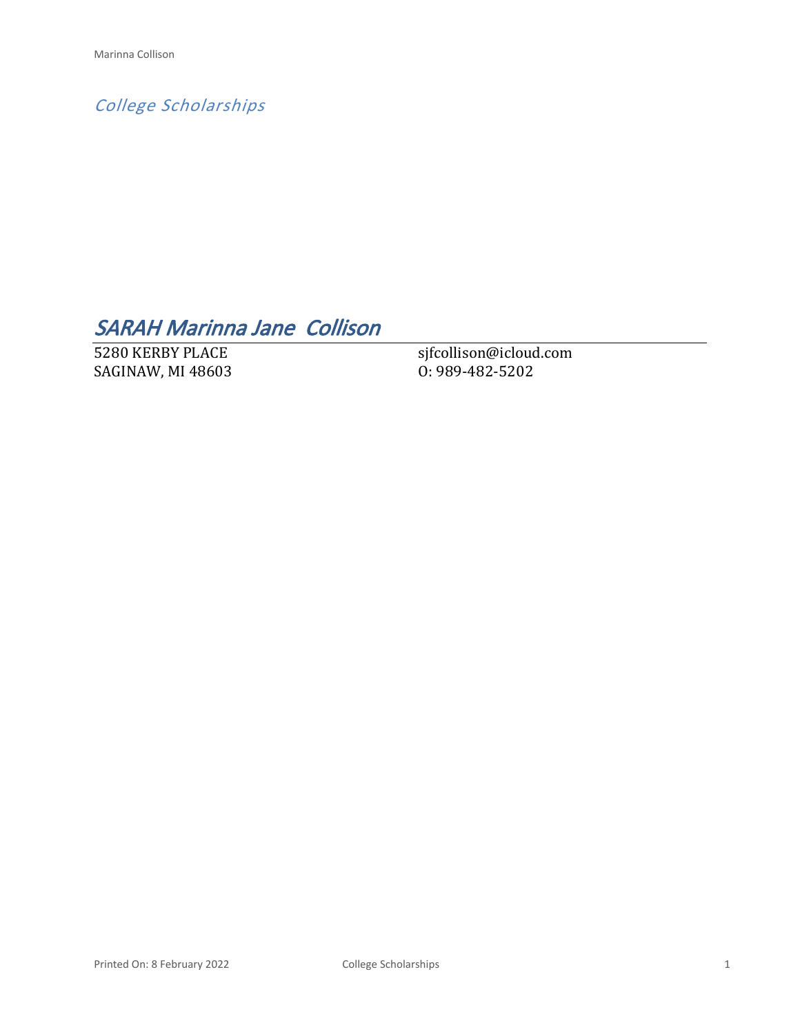*College Scholarships*

# *SARAH Marinna Jane Collison*

5280 KERBY PLACE SAGINAW, MI 48603 sjfcollison@icloud.com O: 989-482-5202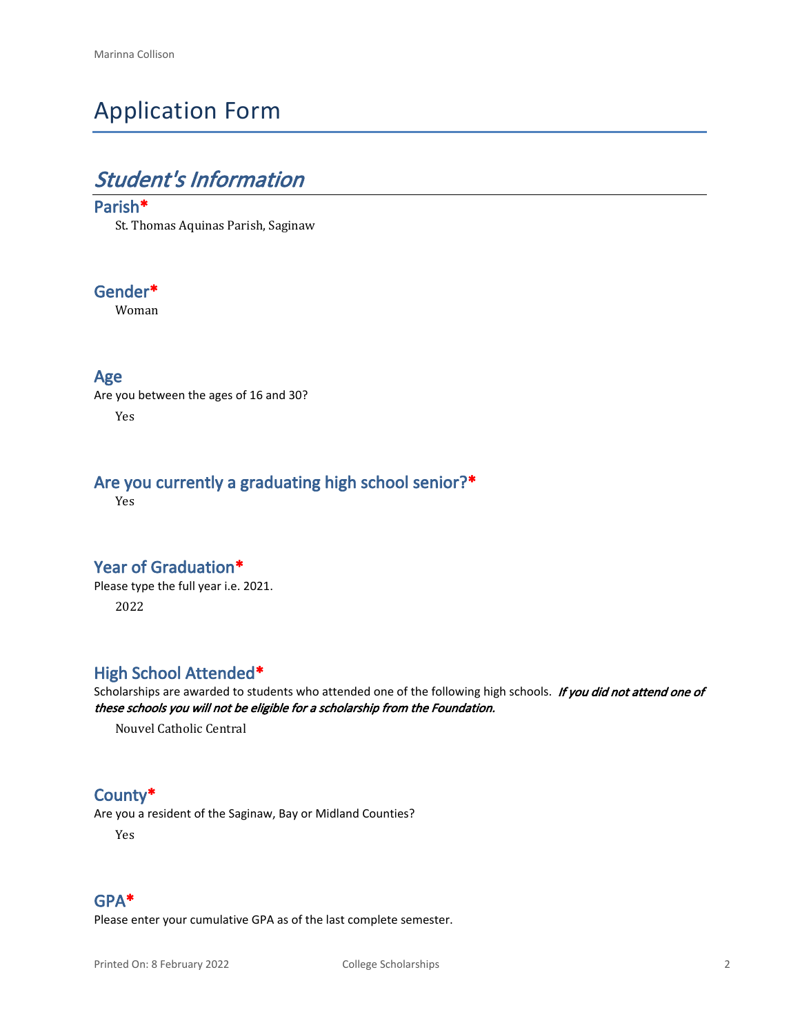# Application Form

# *Student's Information*

#### **Parish\***

St. Thomas Aquinas Parish, Saginaw

### **Gender\***

Woman

#### **Age**

Are you between the ages of 16 and 30? Yes

### **Are you currently a graduating high school senior?\***

Yes

#### **Year of Graduation\***

Please type the full year i.e. 2021. 2022

#### **High School Attended\***

Scholarships are awarded to students who attended one of the following high schools. *If you did not attend one of these schools you will not be eligible for a scholarship from the Foundation.*

Nouvel Catholic Central

#### **County\***

Are you a resident of the Saginaw, Bay or Midland Counties?

Yes

#### **GPA\***

Please enter your cumulative GPA as of the last complete semester.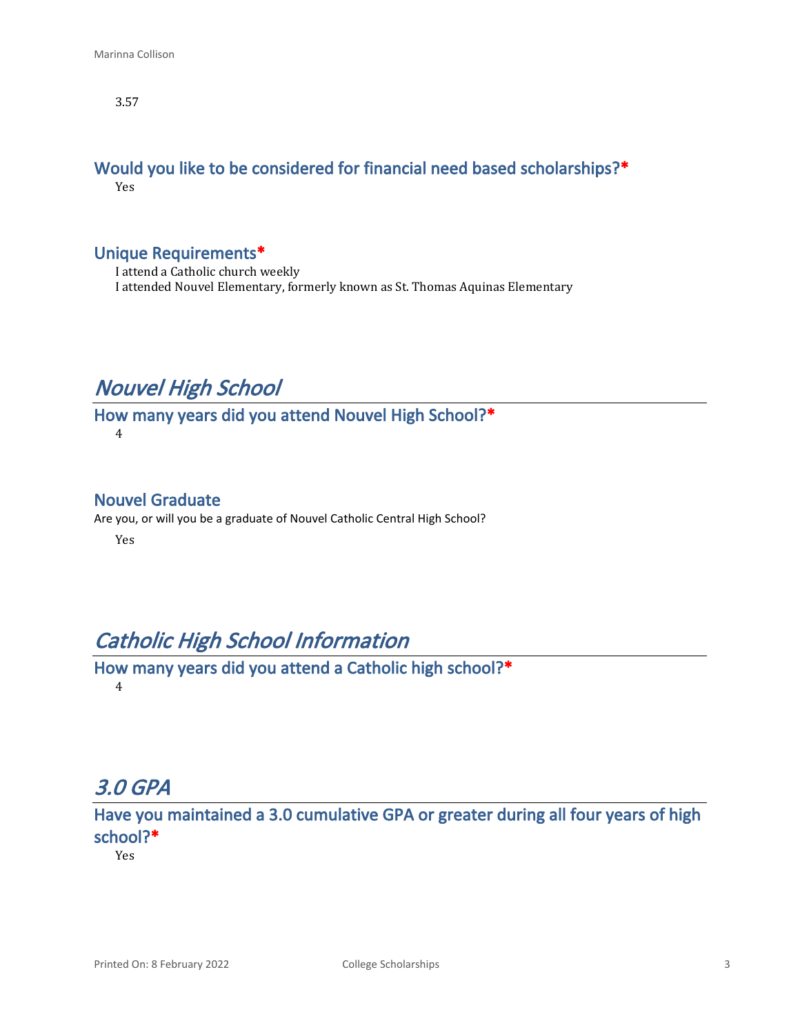3.57

#### **Would you like to be considered for financial need based scholarships?\*** Yes

#### **Unique Requirements\***

I attend a Catholic church weekly I attended Nouvel Elementary, formerly known as St. Thomas Aquinas Elementary

## *Nouvel High School*

**How many years did you attend Nouvel High School?\*** 4

#### **Nouvel Graduate**

Are you, or will you be a graduate of Nouvel Catholic Central High School?

Yes

## *Catholic High School Information*

**How many years did you attend a Catholic high school?\*** 4

## *3.0 GPA*

**Have you maintained a 3.0 cumulative GPA or greater during all four years of high school?\***

Yes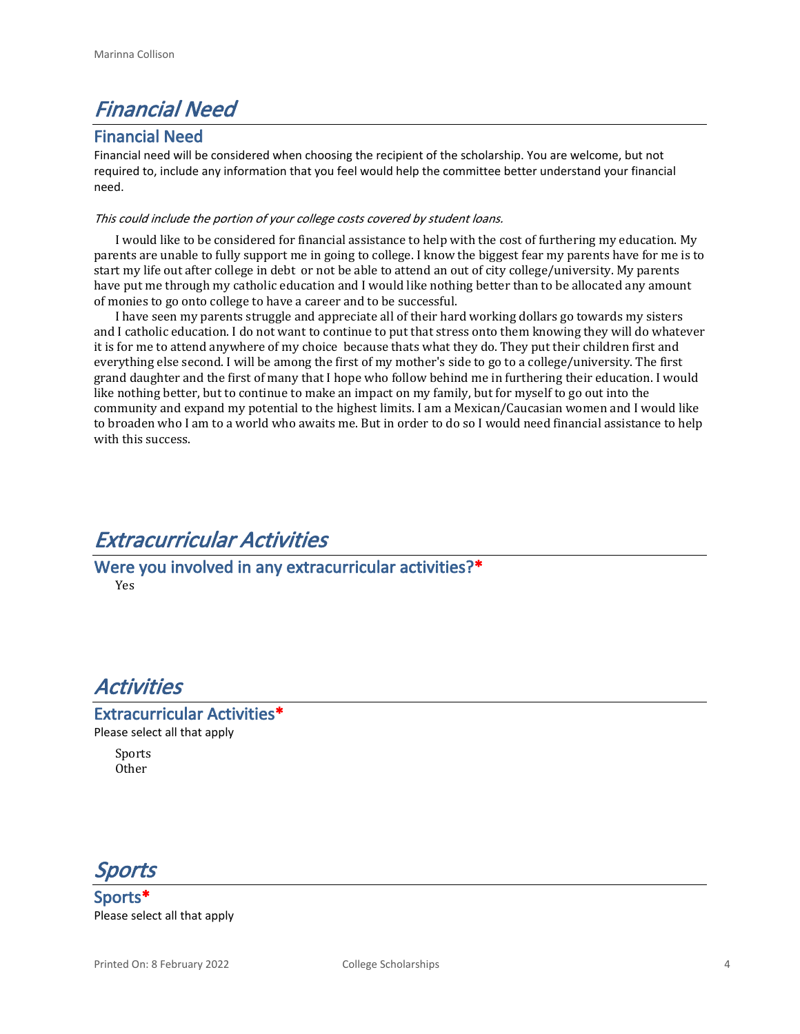## *Financial Need*

#### **Financial Need**

Financial need will be considered when choosing the recipient of the scholarship. You are welcome, but not required to, include any information that you feel would help the committee better understand your financial need.

#### *This could include the portion of your college costs covered by student loans.*

I would like to be considered for financial assistance to help with the cost of furthering my education. My parents are unable to fully support me in going to college. I know the biggest fear my parents have for me is to start my life out after college in debt or not be able to attend an out of city college/university. My parents have put me through my catholic education and I would like nothing better than to be allocated any amount of monies to go onto college to have a career and to be successful.

I have seen my parents struggle and appreciate all of their hard working dollars go towards my sisters and I catholic education. I do not want to continue to put that stress onto them knowing they will do whatever it is for me to attend anywhere of my choice because thats what they do. They put their children first and everything else second. I will be among the first of my mother's side to go to a college/university. The first grand daughter and the first of many that I hope who follow behind me in furthering their education. I would like nothing better, but to continue to make an impact on my family, but for myself to go out into the community and expand my potential to the highest limits. I am a Mexican/Caucasian women and I would like to broaden who I am to a world who awaits me. But in order to do so I would need financial assistance to help with this success.

### *Extracurricular Activities*

**Were you involved in any extracurricular activities?\*** Yes

### *Activities*

# **Extracurricular Activities\***

Please select all that apply

Sports Other



**Sports\*** Please select all that apply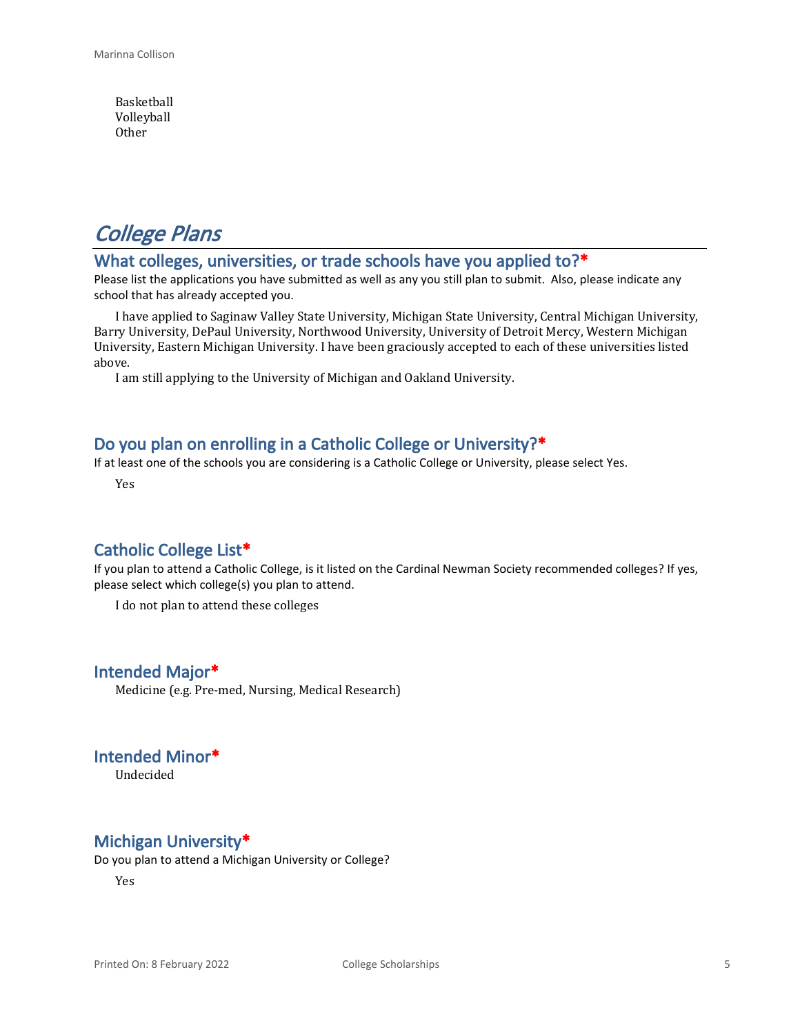Basketball Volleyball Other

## *College Plans*

#### **What colleges, universities, or trade schools have you applied to?\***

Please list the applications you have submitted as well as any you still plan to submit. Also, please indicate any school that has already accepted you.

I have applied to Saginaw Valley State University, Michigan State University, Central Michigan University, Barry University, DePaul University, Northwood University, University of Detroit Mercy, Western Michigan University, Eastern Michigan University. I have been graciously accepted to each of these universities listed above.

I am still applying to the University of Michigan and Oakland University.

#### **Do you plan on enrolling in a Catholic College or University?\***

If at least one of the schools you are considering is a Catholic College or University, please select Yes.

Yes

#### **Catholic College List\***

If you plan to attend a Catholic College, is it listed on the Cardinal Newman Society recommended colleges? If yes, please select which college(s) you plan to attend.

I do not plan to attend these colleges

#### **Intended Major\***

Medicine (e.g. Pre-med, Nursing, Medical Research)

**Intended Minor\***

Undecided

#### **Michigan University\***

Do you plan to attend a Michigan University or College?

Yes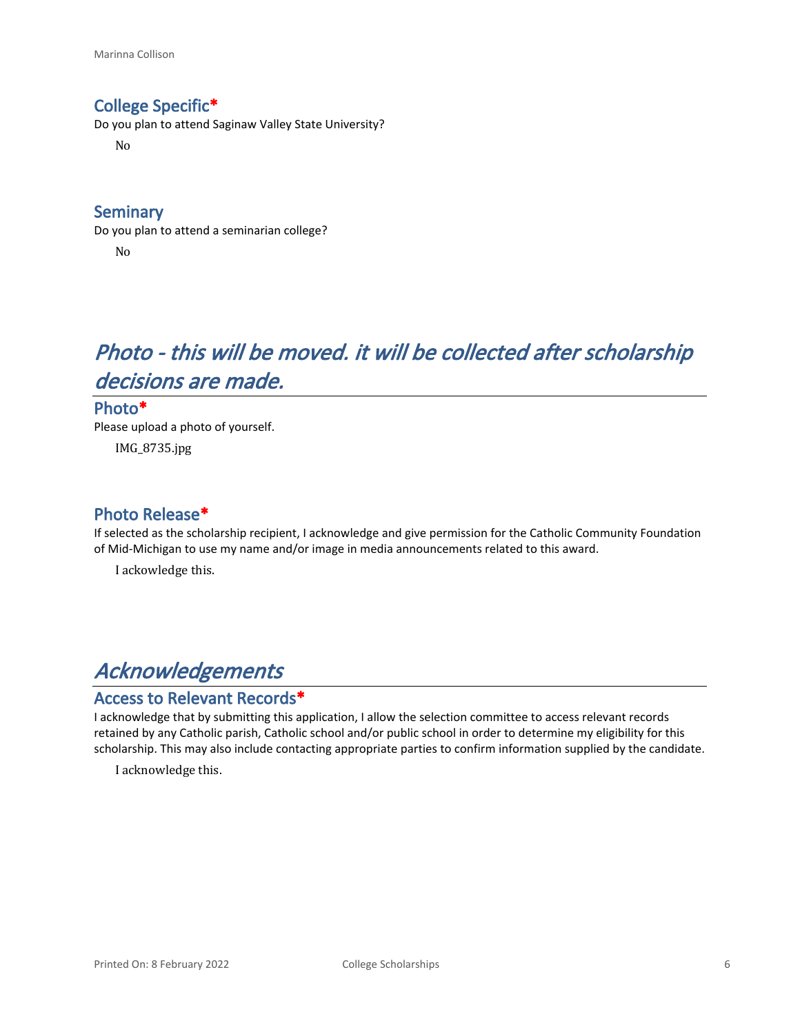#### **College Specific\***

Do you plan to attend Saginaw Valley State University?

No

#### **Seminary**

Do you plan to attend a seminarian college? No

# *Photo - this will be moved. it will be collected after scholarship decisions are made.*

#### **Photo\***

Please upload a photo of yourself. IMG\_8735.jpg

#### **Photo Release\***

If selected as the scholarship recipient, I acknowledge and give permission for the Catholic Community Foundation of Mid-Michigan to use my name and/or image in media announcements related to this award.

I ackowledge this.

## *Acknowledgements*

#### **Access to Relevant Records\***

I acknowledge that by submitting this application, I allow the selection committee to access relevant records retained by any Catholic parish, Catholic school and/or public school in order to determine my eligibility for this scholarship. This may also include contacting appropriate parties to confirm information supplied by the candidate.

I acknowledge this.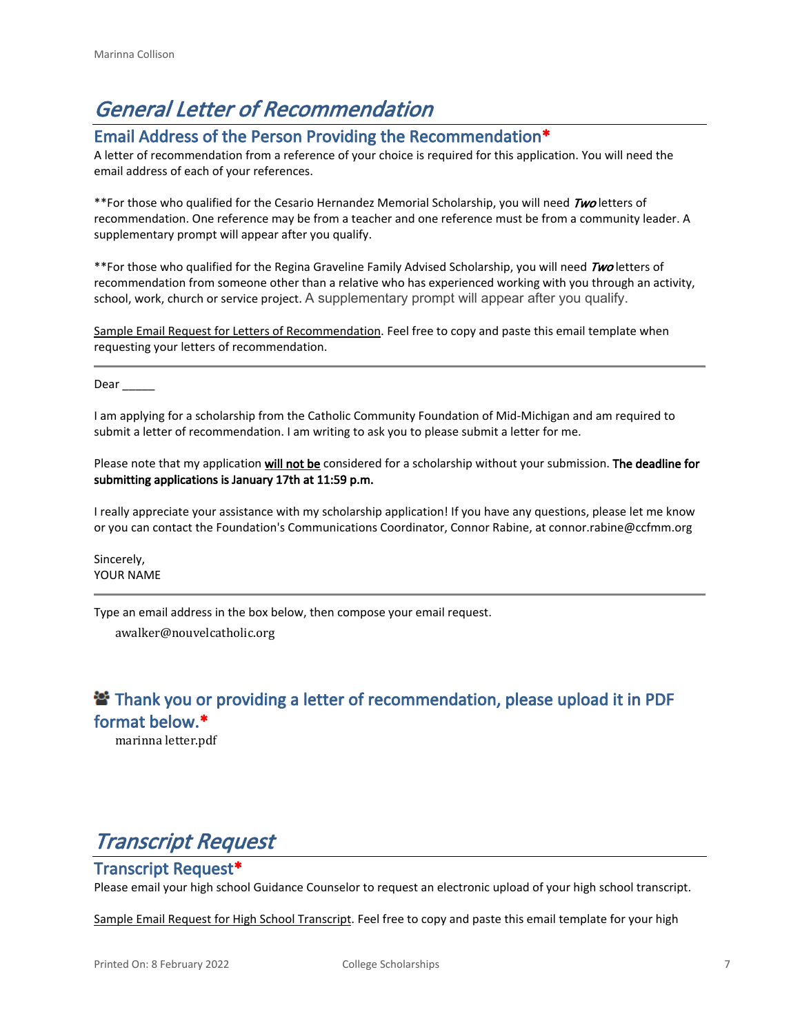# *General Letter of Recommendation*

#### **Email Address of the Person Providing the Recommendation\***

A letter of recommendation from a reference of your choice is required for this application. You will need the email address of each of your references.

\*\*For those who qualified for the Cesario Hernandez Memorial Scholarship, you will need *Two* letters of recommendation. One reference may be from a teacher and one reference must be from a community leader. A supplementary prompt will appear after you qualify.

\*\*For those who qualified for the Regina Graveline Family Advised Scholarship, you will need *Two* letters of recommendation from someone other than a relative who has experienced working with you through an activity, school, work, church or service project. A supplementary prompt will appear after you qualify.

Sample Email Request for Letters of Recommendation. Feel free to copy and paste this email template when requesting your letters of recommendation.

Dear

I am applying for a scholarship from the Catholic Community Foundation of Mid-Michigan and am required to submit a letter of recommendation. I am writing to ask you to please submit a letter for me.

Please note that my application **will not be** considered for a scholarship without your submission. **The deadline for submitting applications is January 17th at 11:59 p.m.**

I really appreciate your assistance with my scholarship application! If you have any questions, please let me know or you can contact the Foundation's Communications Coordinator, Connor Rabine, at connor.rabine@ccfmm.org

Sincerely, YOUR NAME

Type an email address in the box below, then compose your email request.

awalker@nouvelcatholic.org

### **<sup>2</sup> Thank you or providing a letter of recommendation, please upload it in PDF format below.\***

marinna letter.pdf

# *Transcript Request*

#### **Transcript Request\***

Please email your high school Guidance Counselor to request an electronic upload of your high school transcript.

Sample Email Request for High School Transcript. Feel free to copy and paste this email template for your high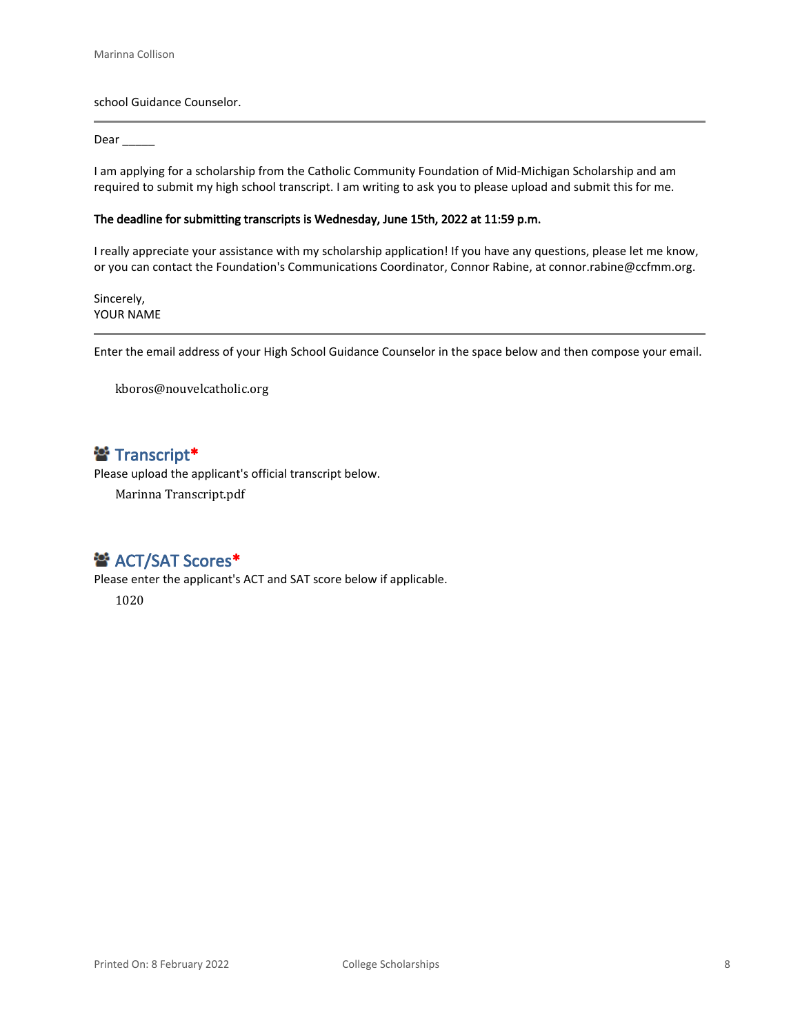school Guidance Counselor.

#### Dear \_\_\_\_\_\_

I am applying for a scholarship from the Catholic Community Foundation of Mid-Michigan Scholarship and am required to submit my high school transcript. I am writing to ask you to please upload and submit this for me.

#### **The deadline for submitting transcripts is Wednesday, June 15th, 2022 at 11:59 p.m.**

I really appreciate your assistance with my scholarship application! If you have any questions, please let me know, or you can contact the Foundation's Communications Coordinator, Connor Rabine, at connor.rabine@ccfmm.org.

Sincerely, YOUR NAME

Enter the email address of your High School Guidance Counselor in the space below and then compose your email.

kboros@nouvelcatholic.org

### **Transcript\***

Please upload the applicant's official transcript below.

Marinna Transcript.pdf

#### **普 ACT/SAT Scores\***

Please enter the applicant's ACT and SAT score below if applicable.

1020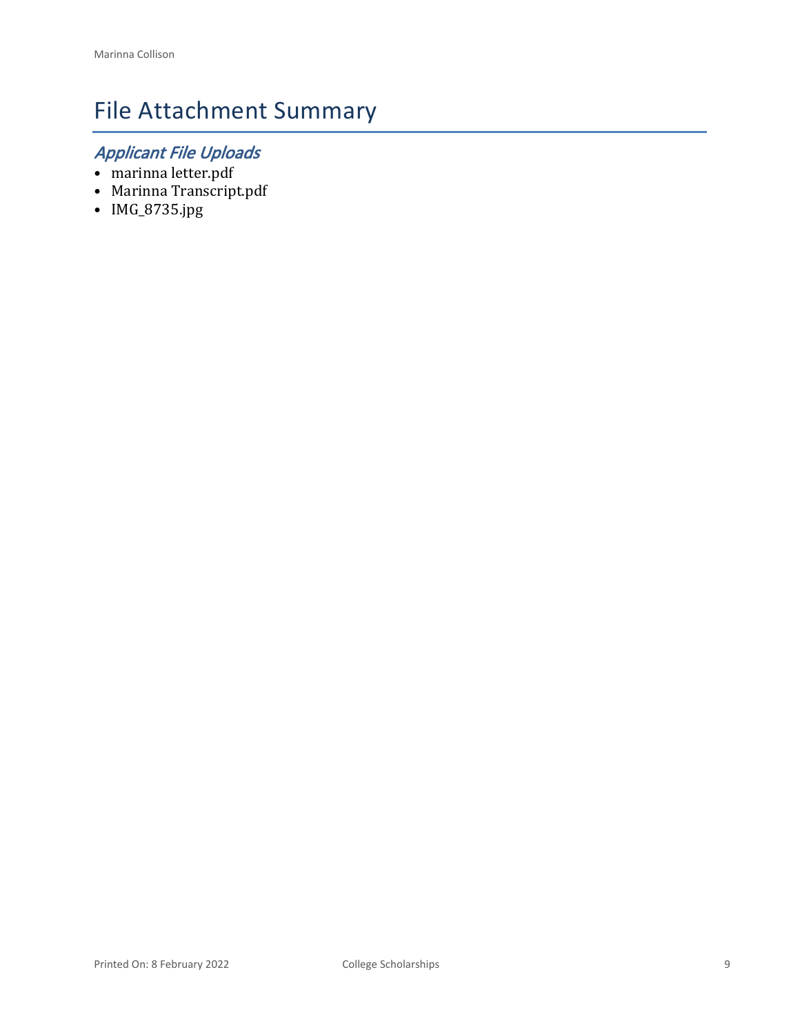# File Attachment Summary

## *Applicant File Uploads*

- marinna letter.pdf
- Marinna Transcript.pdf
- IMG\_8735.jpg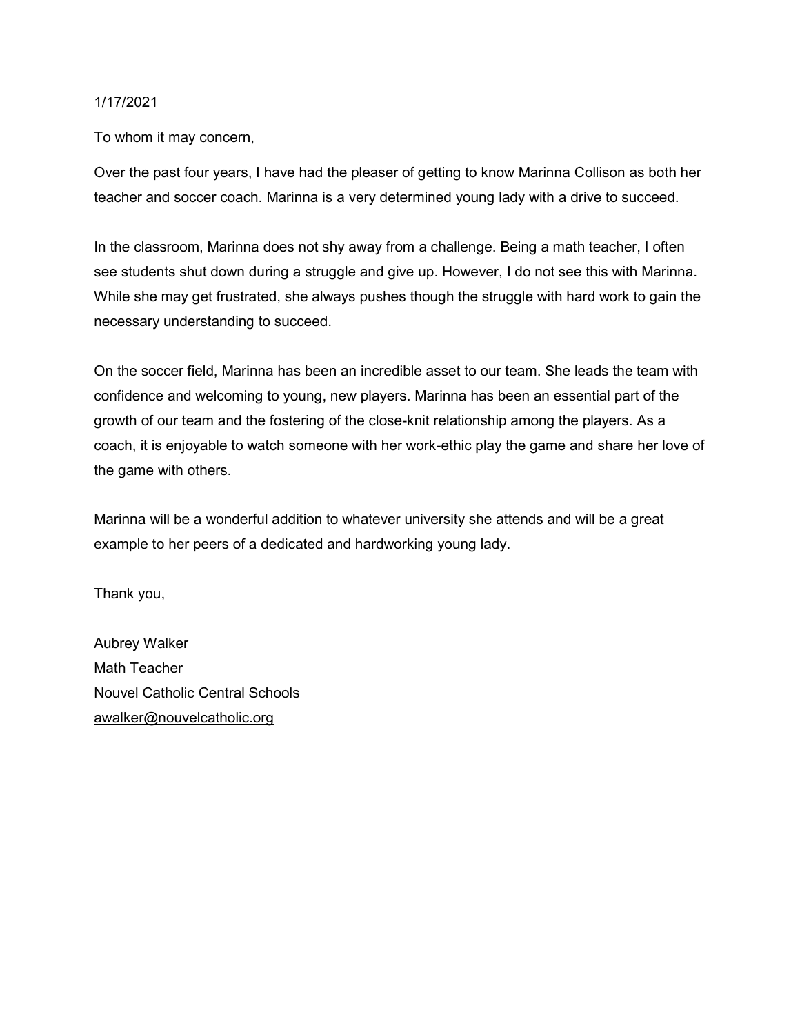#### 1/17/2021

To whom it may concern,

Over the past four years, I have had the pleaser of getting to know Marinna Collison as both her teacher and soccer coach. Marinna is a very determined young lady with a drive to succeed.

In the classroom, Marinna does not shy away from a challenge. Being a math teacher, I often see students shut down during a struggle and give up. However, I do not see this with Marinna. While she may get frustrated, she always pushes though the struggle with hard work to gain the necessary understanding to succeed.

On the soccer field, Marinna has been an incredible asset to our team. She leads the team with confidence and welcoming to young, new players. Marinna has been an essential part of the growth of our team and the fostering of the close-knit relationship among the players. As a coach, it is enjoyable to watch someone with her work-ethic play the game and share her love of the game with others.

Marinna will be a wonderful addition to whatever university she attends and will be a great example to her peers of a dedicated and hardworking young lady.

Thank you,

Aubrey Walker Math Teacher Nouvel Catholic Central Schools awalker@nouvelcatholic.org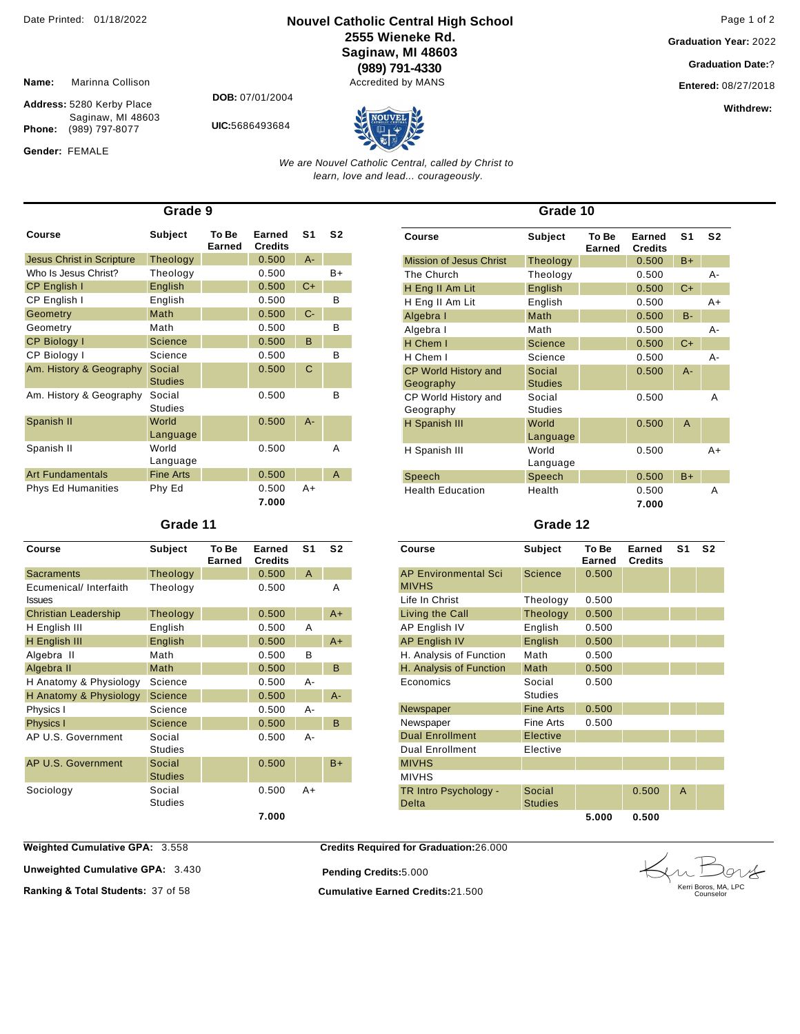#### **Nouvel Catholic Central High School** Date Printed: 01/18/2022 Page 1 of 2 **2555 Wieneke Rd. Saginaw, MI 48603 (989) 791-4330**

Accredited by MANS

**Graduation Year:** 2022

**Graduation Date:**?

**Entered:** 08/27/2018

**Withdrew:** 

**Name:** Marinna Collison

**Phone:** (989) 797-8077

Gender: FEMALE

**Address:** 5280 Kerby Place Saginaw, MI 48603 **DOB:** 07/01/2004

**UIC:**5686493684



*We are Nouvel Catholic Central, called by Christ to learn, love and lead... courageously.*

| Grade 9                          |                          |                 |                          |                |                |  |
|----------------------------------|--------------------------|-----------------|--------------------------|----------------|----------------|--|
| Course                           | <b>Subject</b>           | To Be<br>Earned | Earned<br><b>Credits</b> | S <sub>1</sub> | S <sub>2</sub> |  |
| <b>Jesus Christ in Scripture</b> | Theology                 |                 | 0.500                    | $A -$          |                |  |
| Who Is Jesus Christ?             | Theology                 |                 | 0.500                    |                | $B+$           |  |
| CP English I                     | English                  |                 | 0.500                    | $C+$           |                |  |
| CP English I                     | English                  |                 | 0.500                    |                | B              |  |
| Geometry                         | Math                     |                 | 0.500                    | $C-$           |                |  |
| Geometry                         | Math                     |                 | 0.500                    |                | B              |  |
| <b>CP Biology I</b>              | <b>Science</b>           |                 | 0.500                    | B              |                |  |
| CP Biology I                     | Science                  |                 | 0.500                    |                | B              |  |
| Am. History & Geography          | Social<br><b>Studies</b> |                 | 0.500                    | С              |                |  |
| Am. History & Geography          | Social<br><b>Studies</b> |                 | 0.500                    |                | B              |  |
| Spanish II                       | World<br>Language        |                 | 0.500                    | $A -$          |                |  |
| Spanish II                       | World<br>Language        |                 | 0.500                    |                | Α              |  |
| <b>Art Fundamentals</b>          | <b>Fine Arts</b>         |                 | 0.500                    |                | A              |  |
| <b>Phys Ed Humanities</b>        | Phy Ed                   |                 | 0.500<br>7.000           | A+             |                |  |

#### **Grade 11**

| Course                                  | Subject                  | To Be<br><b>Earned</b> | <b>Earned</b><br><b>Credits</b> | S <sub>1</sub> | S <sub>2</sub> |
|-----------------------------------------|--------------------------|------------------------|---------------------------------|----------------|----------------|
| <b>Sacraments</b>                       | Theology                 |                        | 0.500                           | A              |                |
| Ecumenical/ Interfaith<br><b>Issues</b> | Theology                 |                        | 0.500                           |                | A              |
| <b>Christian Leadership</b>             | <b>Theology</b>          |                        | 0.500                           |                | A+             |
| H English III                           | English                  |                        | 0.500                           | Α              |                |
| H English III                           | English                  |                        | 0.500                           |                | $A+$           |
| Algebra II                              | Math                     |                        | 0.500                           | B              |                |
| Algebra II                              | Math                     |                        | 0.500                           |                | B              |
| H Anatomy & Physiology                  | Science                  |                        | 0.500                           | $A -$          |                |
| H Anatomy & Physiology                  | <b>Science</b>           |                        | 0.500                           |                | $A -$          |
| Physics I                               | Science                  |                        | 0.500                           | А-             |                |
| <b>Physics I</b>                        | Science                  |                        | 0.500                           |                | B              |
| AP U.S. Government                      | Social<br><b>Studies</b> |                        | 0.500                           | $A -$          |                |
| AP U.S. Government                      | Social<br><b>Studies</b> |                        | 0.500                           |                | $B+$           |
| Sociology                               | Social<br><b>Studies</b> |                        | 0.500                           | $A+$           |                |
|                                         |                          |                        | 7.000                           |                |                |

| Grade 10                                 |                          |                 |                          |                |                |  |
|------------------------------------------|--------------------------|-----------------|--------------------------|----------------|----------------|--|
| Course                                   | Subject                  | To Be<br>Earned | Earned<br><b>Credits</b> | S <sub>1</sub> | S <sub>2</sub> |  |
| Mission of Jesus Christ                  | Theology                 |                 | 0.500                    | $B+$           |                |  |
| The Church                               | Theology                 |                 | 0.500                    |                | А-             |  |
| H Eng II Am Lit                          | English                  |                 | 0.500                    | $C+$           |                |  |
| H Eng II Am Lit                          | English                  |                 | 0.500                    |                | $A+$           |  |
| Algebra I                                | Math                     |                 | 0.500                    | B-             |                |  |
| Algebra I                                | Math                     |                 | 0.500                    |                | A-             |  |
| H Chem I                                 | <b>Science</b>           |                 | 0.500                    | $C+$           |                |  |
| H Chem I                                 | Science                  |                 | 0.500                    |                | A-             |  |
| <b>CP World History and</b><br>Geography | Social<br><b>Studies</b> |                 | 0.500                    | $A -$          |                |  |
| CP World History and<br>Geography        | Social<br><b>Studies</b> |                 | 0.500                    |                | A              |  |
| H Spanish III                            | World<br>Language        |                 | 0.500                    | $\overline{A}$ |                |  |
| H Spanish III                            | World<br>Language        |                 | 0.500                    |                | $A+$           |  |
| Speech                                   | Speech                   |                 | 0.500                    | $B+$           |                |  |
| <b>Health Education</b>                  | Health                   |                 | 0.500<br>7.000           |                | A              |  |

#### **Grade 12**

| Course                                      | Subject                  | To Be<br>Earned | Earned<br><b>Credits</b> | S1 | S <sub>2</sub> |
|---------------------------------------------|--------------------------|-----------------|--------------------------|----|----------------|
| <b>AP Environmental Sci</b><br><b>MIVHS</b> | Science                  | 0.500           |                          |    |                |
| Life In Christ                              | Theology                 | 0.500           |                          |    |                |
| Living the Call                             | Theology                 | 0.500           |                          |    |                |
| AP English IV                               | English                  | 0.500           |                          |    |                |
| <b>AP English IV</b>                        | English                  | 0.500           |                          |    |                |
| H. Analysis of Function                     | Math                     | 0.500           |                          |    |                |
| H. Analysis of Function                     | Math                     | 0.500           |                          |    |                |
| Economics                                   | Social<br><b>Studies</b> | 0.500           |                          |    |                |
| Newspaper                                   | <b>Fine Arts</b>         | 0.500           |                          |    |                |
| Newspaper                                   | Fine Arts                | 0.500           |                          |    |                |
| <b>Dual Enrollment</b>                      | Elective                 |                 |                          |    |                |
| <b>Dual Enrollment</b>                      | Elective                 |                 |                          |    |                |
| <b>MIVHS</b>                                |                          |                 |                          |    |                |
| <b>MIVHS</b>                                |                          |                 |                          |    |                |
| TR Intro Psychology -<br><b>Delta</b>       | Social<br><b>Studies</b> |                 | 0.500                    | A  |                |
|                                             |                          | 5.000           | 0.500                    |    |                |

**Weighted Cumulative GPA: 3.558** 

**Credits Required for Graduation:**26.000

**Unweighted Cumulative GPA: 3.430** 

**Ranking & Total Students:** 37 of 58 **Cumulative Earned Credits:**21.500

**Pending Credits:**5.000

Kerri Boros, MA, LPC Counselor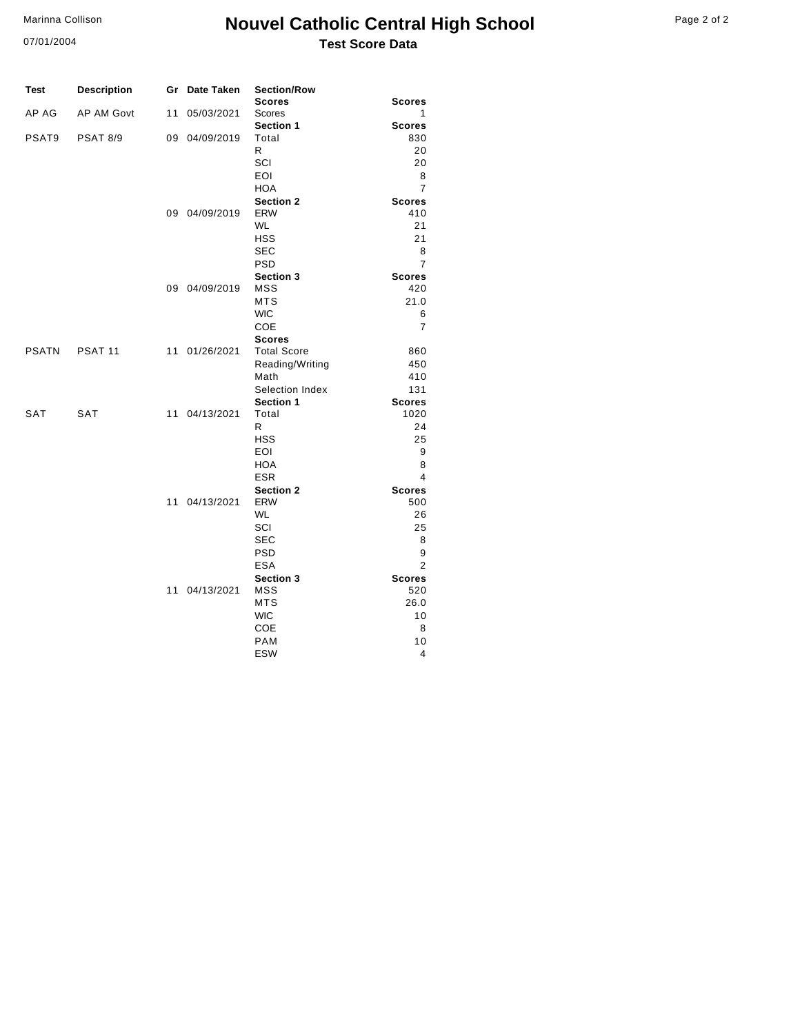07/01/2004

### **Nouvel Catholic Central High School** Page 2 of 2 **Test Score Data**

| Test         | <b>Description</b> |    | Gr Date Taken | <b>Section/Row</b>             |                      |
|--------------|--------------------|----|---------------|--------------------------------|----------------------|
|              |                    |    |               | <b>Scores</b>                  | <b>Scores</b>        |
| AP AG        | AP AM Govt         | 11 | 05/03/2021    | <b>Scores</b>                  | 1                    |
|              |                    |    |               | Section 1                      | <b>Scores</b>        |
| PSAT9        | <b>PSAT 8/9</b>    |    | 09 04/09/2019 | Total                          | 830                  |
|              |                    |    |               | R                              | 20                   |
|              |                    |    |               | SCI                            | 20                   |
|              |                    |    |               | EOI                            | 8                    |
|              |                    |    |               | <b>HOA</b>                     | $\overline{7}$       |
|              |                    |    |               | <b>Section 2</b>               | <b>Scores</b>        |
|              |                    |    | 09 04/09/2019 | <b>ERW</b>                     | 410                  |
|              |                    |    |               | <b>WL</b>                      | 21<br>21             |
|              |                    |    |               | <b>HSS</b>                     |                      |
|              |                    |    |               | <b>SEC</b>                     | 8                    |
|              |                    |    |               | <b>PSD</b>                     | $\overline{7}$       |
|              |                    |    | 09 04/09/2019 | <b>Section 3</b><br><b>MSS</b> | <b>Scores</b><br>420 |
|              |                    |    |               | <b>MTS</b>                     | 21.0                 |
|              |                    |    |               | <b>WIC</b>                     | 6                    |
|              |                    |    |               | COE                            | 7                    |
|              |                    |    |               | <b>Scores</b>                  |                      |
| <b>PSATN</b> | PSAT <sub>11</sub> |    | 11 01/26/2021 | <b>Total Score</b>             | 860                  |
|              |                    |    |               | Reading/Writing                | 450                  |
|              |                    |    |               | Math                           | 410                  |
|              |                    |    |               | Selection Index                | 131                  |
|              |                    |    |               | Section 1                      | <b>Scores</b>        |
| SAT          | <b>SAT</b>         |    | 11 04/13/2021 | Total                          | 1020                 |
|              |                    |    |               | R                              | 24                   |
|              |                    |    |               | <b>HSS</b>                     | 25                   |
|              |                    |    |               | EOI                            | 9                    |
|              |                    |    |               | <b>HOA</b>                     | 8                    |
|              |                    |    |               | <b>ESR</b>                     | 4                    |
|              |                    |    |               | <b>Section 2</b>               | <b>Scores</b>        |
|              |                    |    | 11 04/13/2021 | <b>ERW</b>                     | 500                  |
|              |                    |    |               | <b>WL</b>                      | 26                   |
|              |                    |    |               | SCI                            | 25                   |
|              |                    |    |               | <b>SEC</b>                     | 8                    |
|              |                    |    |               | <b>PSD</b>                     | 9                    |
|              |                    |    |               | <b>ESA</b>                     | $\overline{2}$       |
|              |                    |    |               | <b>Section 3</b>               | <b>Scores</b>        |
|              |                    |    | 11 04/13/2021 | <b>MSS</b>                     | 520                  |
|              |                    |    |               | <b>MTS</b>                     | 26.0                 |
|              |                    |    |               | <b>WIC</b>                     | 10                   |
|              |                    |    |               | COE                            | 8                    |
|              |                    |    |               | <b>PAM</b>                     | 10                   |
|              |                    |    |               | <b>ESW</b>                     | 4                    |
|              |                    |    |               |                                |                      |